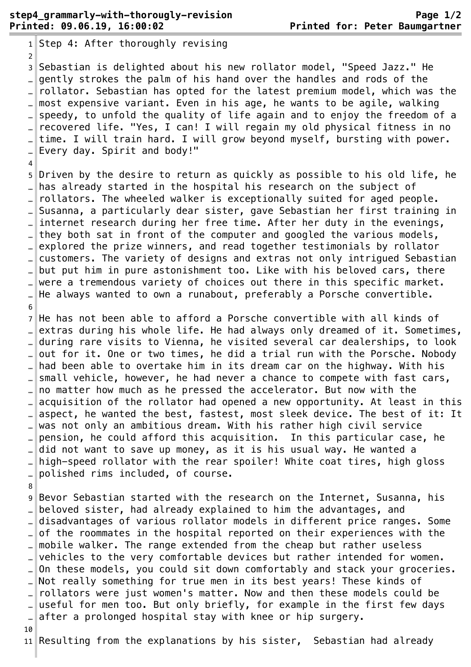$1$ Step 4: After thoroughly revising 2 ¬ 3 Sebastian is delighted about his new rollator model, "Speed Jazz." He ... gently strokes the palm of his hand over the handles and rods of the rollator. Sebastian has opted for the latest premium model, which was the most expensive variant. Even in his age, he wants to be agile, walking speedy, to unfold the quality of life again and to enjoy the freedom of a . recovered life. "Yes, I can! I will regain my old physical fitness in no time. I will train hard. I will grow beyond myself, bursting with power. Every day. Spirit and body!"  $\overline{4}$ 5 Driven by the desire to return as quickly as possible to his old life, he has already started in the hospital his research on the subject of  $\lbrack \bot \rbrack$  rollators. The wheeled walker is exceptionally suited for aged people. Susanna, a particularly dear sister, gave Sebastian her first training in internet research during her free time. After her duty in the evenings, ... they both sat in front of the computer and googled the various models, explored the prize winners, and read together testimonials by rollator customers. The variety of designs and extras not only intrigued Sebastian .. $\parallel$ but put him in pure astonishment too. Like with his beloved cars, there were a tremendous variety of choices out there in this specific market. … He always wanted to own a runabout, preferably a Porsche convertible. 6 ¬  $7$  He has not been able to afford a Porsche convertible with all kinds of extras during his whole life. He had always only dreamed of it. Sometimes, during rare visits to Vienna, he visited several car dealerships, to look . out for it. One or two times, he did a trial run with the Porsche. Nobody had been able to overtake him in its dream car on the highway. With his small vehicle, however, he had never a chance to compete with fast cars, .. $\parallel$  no matter how much as he pressed the accelerator. But now with the acquisition of the rollator had opened a new opportunity. At least in this aspect, he wanted the best, fastest, most sleek device. The best of it: It .. $\parallel$  was not only an ambitious dream. With his rather high civil service … pension, he could afford this acquisition. In this particular case, he did not want to save up money, as it is his usual way. He wanted a high-speed rollator with the rear spoiler! White coat tires, high gloss … polished rims included, of course.¬ 8 ¬ 9 Bevor Sebastian started with the research on the Internet, Susanna, his .. $\parallel$  beloved sister, had already explained to him the advantages, and disadvantages of various rollator models in different price ranges. Some of the roommates in the hospital reported on their experiences with the .. $\|$ mobile walker. The range extended from the cheap but rather useless vehicles to the very comfortable devices but rather intended for women. On these models, you could sit down comfortably and stack your groceries. … Not really something for true men in its best years! These kinds of rollators were just women's matter. Now and then these models could be useful for men too. But only briefly, for example in the first few days  $\Box$  after a prolonged hospital stay with knee or hip surgery.

10

 $11$  Resulting from the explanations by his sister, Sebastian had already